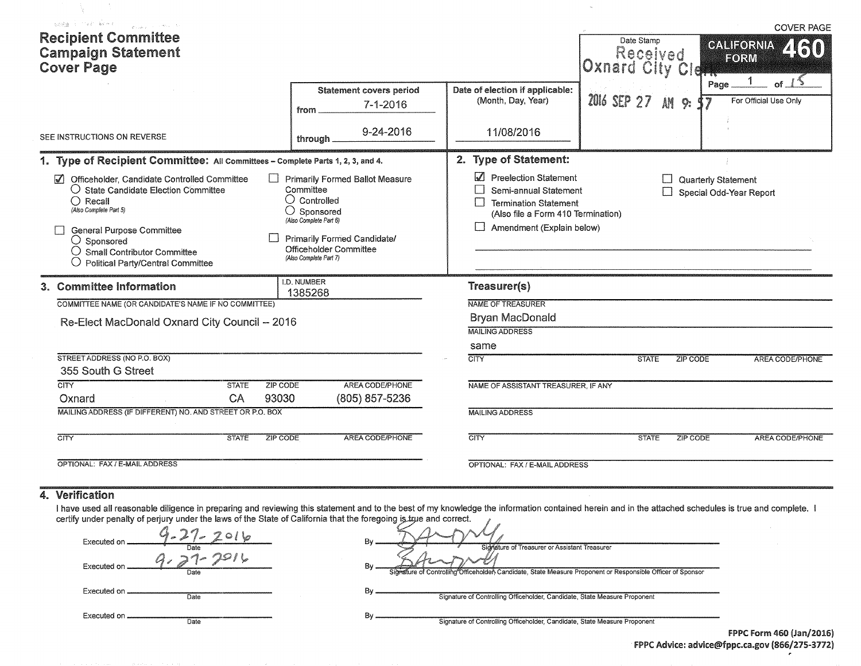| weeken in the benefit<br>$\left\langle \varphi_{\alpha,1,2\alpha,2\beta} \right\rangle_{\alpha=0} = e^{i\alpha\varphi_{\alpha,2\beta}} = 6 \times$<br><b>Recipient Committee</b><br><b>Campaign Statement</b><br><b>Cover Page</b>                                                                                                                                                          |                                                                                                                                                                                                                          |                                                                                                                                                                                                      | Date Stamp<br>Received<br>Oxnard City Cid |                                                | <b>COVER PAGE</b><br>260<br><b>GALIFORNIA</b><br>FORM |
|---------------------------------------------------------------------------------------------------------------------------------------------------------------------------------------------------------------------------------------------------------------------------------------------------------------------------------------------------------------------------------------------|--------------------------------------------------------------------------------------------------------------------------------------------------------------------------------------------------------------------------|------------------------------------------------------------------------------------------------------------------------------------------------------------------------------------------------------|-------------------------------------------|------------------------------------------------|-------------------------------------------------------|
| SEE INSTRUCTIONS ON REVERSE                                                                                                                                                                                                                                                                                                                                                                 | <b>Statement covers period</b><br>$7 - 1 - 2016$<br>from.<br>9-24-2016<br>through.                                                                                                                                       | Date of election if applicable:<br>(Month, Day, Year)<br>11/08/2016                                                                                                                                  | 2016 SEP 27                               | Page_<br>AM<br>9:                              | For Official Use Only                                 |
| 1. Type of Recipient Committee: All Committees - Complete Parts 1, 2, 3, and 4.<br>Officeholder, Candidate Controlled Committee<br>$\mathcal{U}$<br>$\bigcirc$ State Candidate Election Committee<br>$\bigcirc$ Recall<br>(Also Complete Part 5)<br>General Purpose Committee<br>$\bigcirc$ Sponsored<br>$\bigcirc$ Small Contributor Committee<br><b>Political Party/Central Committee</b> | <b>Primarily Formed Ballot Measure</b><br>Committee<br>$\bigcirc$ Controlled<br>$\bigcirc$ Sponsored<br>(Also Complete Part 6)<br><b>Primarily Formed Candidate/</b><br>Officeholder Committee<br>(Also Complete Part 7) | 2. Type of Statement:<br>Preelection Statement<br>Semi-annual Statement<br>$\mathbf{1}$<br>$\Box$<br><b>Termination Statement</b><br>(Also file a Form 410 Termination)<br>Amendment (Explain below) |                                           | Quarterly Statement<br>Special Odd-Year Report |                                                       |
| 3. Committee Information<br>COMMITTEE NAME (OR CANDIDATE'S NAME IF NO COMMITTEE)<br>Re-Elect MacDonald Oxnard City Council -- 2016<br>STREET ADDRESS (NO P.O. BOX)<br>355 South G Street<br>CTY<br>ZIP CODE<br><b>STATE</b><br>93030<br>CA<br>Oxnard                                                                                                                                        | <b>I.D. NUMBER</b><br>1385268<br>AREA CODE/PHONE<br>(805) 857-5236                                                                                                                                                       | Treasurer(s)<br>NAME OF TREASURER<br><b>Bryan MacDonald</b><br><b>MAILING ADDRESS</b><br>same<br><b>CITY</b><br>NAME OF ASSISTANT TREASURER, IF ANY                                                  | <b>STATE</b>                              | <b>ZIP CODE</b>                                | <b>AREA CODE/PHONE</b>                                |
| MAILING ADDRESS (IF DIFFERENT) NO. AND STREET OR P.O. BOX<br><b>CITY</b><br><b>STATE</b><br><b>ZIP CODE</b><br>OPTIONAL: FAX / E-MAIL ADDRESS                                                                                                                                                                                                                                               | <b>AREA CODE/PHONE</b>                                                                                                                                                                                                   | <b>MAILING ADDRESS</b><br><b>CITY</b><br>OPTIONAL: FAX / E-MAIL ADDRESS                                                                                                                              | <b>STATE</b>                              | <b>ZIP CODE</b>                                | <b>AREA CODE/PHONE</b>                                |

#### 4. Verification

N.

I have used all reasonable diligence in preparing and reviewing this statement and to the best of my knowledge the information contained herein and in the attached schedules is true and complete. certify under penalty of perjury under the laws of the State of California that the foregoing is true and correct.

| Executed on<br>Date  | Bv<br>Sidnature of Treasurer or Assistant Treasurer                                                               |                                 |
|----------------------|-------------------------------------------------------------------------------------------------------------------|---------------------------------|
| Executed on<br>Date  | В٧<br>Signature of Controlling Officeholder, Candidate, State Measure Proponent or Responsible Officer of Sponsor |                                 |
| Executed on<br>Date  | Signature of Controlling Officeholder, Candidate, State Measure Proponent                                         |                                 |
| Executed on.<br>Date | B٧<br>Signature of Controlling Officeholder, Candidate, State Measure Proponent                                   | <b>FPPC Form 460 (Jan/2016)</b> |
|                      |                                                                                                                   |                                 |

FPPC Advice: advice@fppc.ca.gov (866/275-3772)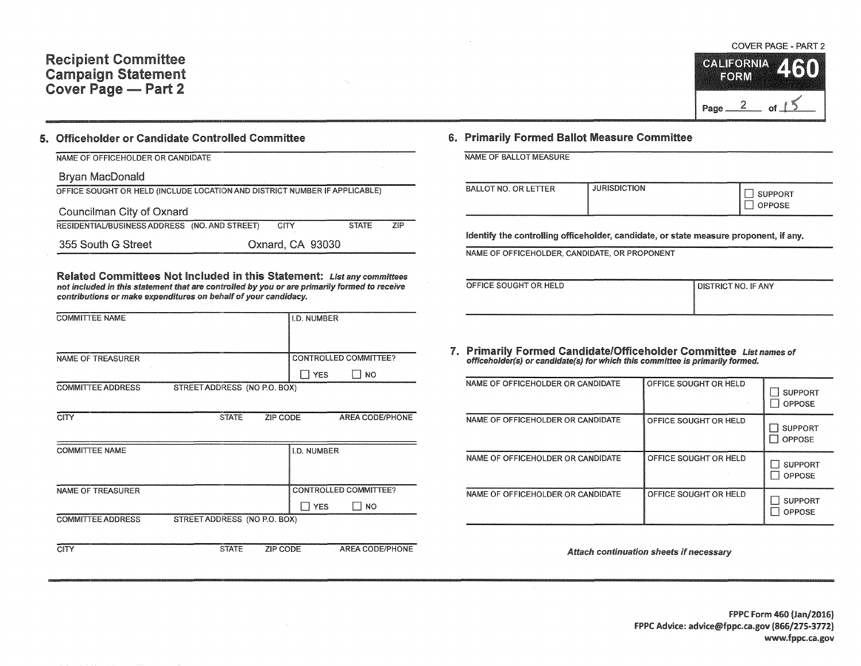## Recipient Committee Campaign Statement Cover Page - Part 2

COVER PAGE - PART 2 **CALIFORNIA** EORM

 $of$ 

Page  $\frac{2}{\sqrt{2}}$ 

#### 5. Officeholder or Candidate Controlled Committee

| NAME OF OFFICEHOLDER OR CANDIDATE                                          |                  |              |     |
|----------------------------------------------------------------------------|------------------|--------------|-----|
| Bryan MacDonald                                                            |                  |              |     |
| OFFICE SOUGHT OR HELD (INCLUDE LOCATION AND DISTRICT NUMBER IF APPLICABLE) |                  |              |     |
| Councilman City of Oxnard                                                  |                  |              |     |
| RESIDENTIAL/BUSINESS ADDRESS (NO. AND STREET)                              | <b>CITY</b>      | <b>STATE</b> | ZIP |
| 355 South G Street                                                         | Oxnard, CA 93030 |              |     |

Related Committees Not Included in this Statement: List any committees not included in this statement that are controlled by you or are primarily formed to receive contributions or make expenditures on behalf of your candidacy.

| <b>COMMITTEE NAME</b>    |                              |          | <b>I.D. NUMBER</b> |                              |
|--------------------------|------------------------------|----------|--------------------|------------------------------|
|                          |                              |          |                    |                              |
| NAME OF TREASURER        |                              |          |                    | <b>CONTROLLED COMMITTEE?</b> |
|                          |                              |          | $\Box$ YES         | <b>NO</b>                    |
| <b>COMMITTEE ADDRESS</b> | STREET ADDRESS (NO P.O. BOX) |          |                    |                              |
| <b>CITY</b>              | <b>STATE</b>                 | ZIP CODE |                    | AREA CODE/PHONE              |

| <b>COMMITTEE NAME</b>                                    | LD. NUMBER            |
|----------------------------------------------------------|-----------------------|
|                                                          |                       |
|                                                          |                       |
| NAME OF TREASURER                                        | CONTROLLED COMMITTEE? |
|                                                          | <b>YFS</b><br>NO      |
| STREET ADDRESS (NO P.O. BOX)<br><b>COMMITTEE ADDRESS</b> |                       |

CITY STATE ZIP CODE AREA CODE/PHONE

### 6. Primarily Formed Ballot Measure Committee

| NAME OF BALLOT MEASURE |  |
|------------------------|--|
|------------------------|--|

| BALLOT NO. OR LETTER | <b>JURISDICTION</b> | , SUPPORT<br>OPPOSE |
|----------------------|---------------------|---------------------|
|                      |                     |                     |

Identify the controlling officeholder, candidate, or state measure proponent, if any.

NAME OF OFFICEHOLDER, CANDIDATE, OR PROPONENT

| OFFICE SOUGHT OR HELD | ______<br>I DISTRICT NO. IF ANY |
|-----------------------|---------------------------------|
|                       |                                 |
|                       |                                 |

# 7. Primarily Formed Candidate/Officeholder Committee List names of officeholder(s) or candidate(s) for which this committee is primarily formed.

| NAME OF OFFICEHOLDER OR CANDIDATE | OFFICE SOUGHT OR HELD | <b>SUPPORT</b><br><b>OPPOSE</b> |
|-----------------------------------|-----------------------|---------------------------------|
| NAME OF OFFICEHOLDER OR CANDIDATE | OFFICE SOUGHT OR HELD | <b>SUPPORT</b><br>OPPOSE        |
| NAME OF OFFICEHOLDER OR CANDIDATE | OFFICE SOUGHT OR HELD | <b>SUPPORT</b><br>OPPOSE        |
| NAME OF OFFICEHOLDER OR CANDIDATE | OFFICE SOUGHT OR HELD | <b>SUPPORT</b><br>OPPOSE        |

Attach continuation sheets if necessary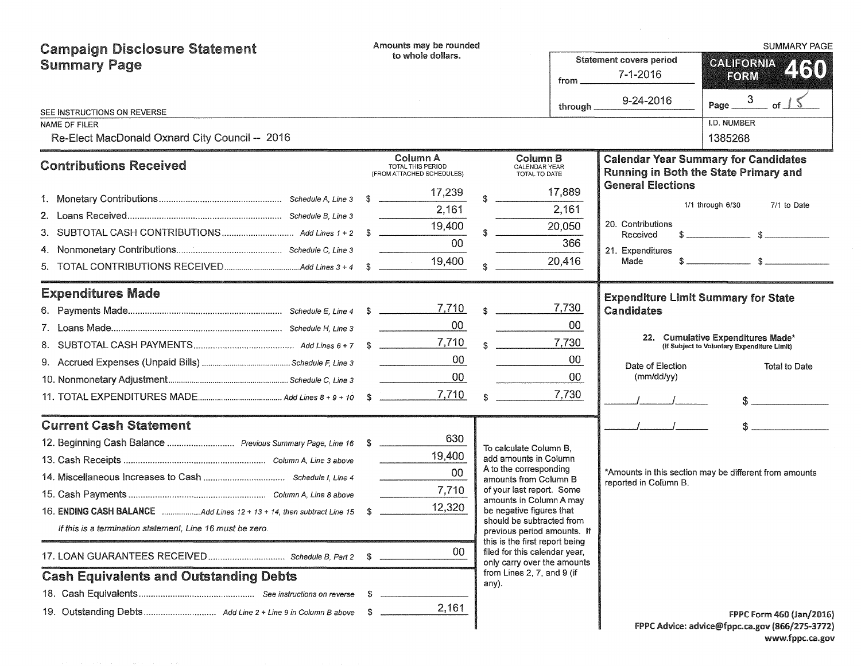| <b>Campaign Disclosure Statement</b>                                     |    | Amounts may be rounded                                     |              |                                                                                            |                 |                                            | <b>SUMMARY PAGE</b>                                                                  |
|--------------------------------------------------------------------------|----|------------------------------------------------------------|--------------|--------------------------------------------------------------------------------------------|-----------------|--------------------------------------------|--------------------------------------------------------------------------------------|
| <b>Summary Page</b>                                                      |    | to whole dollars.                                          |              |                                                                                            |                 | <b>Statement covers period</b>             | <b>CALIFORNIA</b><br>460                                                             |
|                                                                          |    |                                                            |              |                                                                                            | from _          | 7-1-2016                                   | FORM                                                                                 |
|                                                                          |    |                                                            |              |                                                                                            | through _       | 9-24-2016                                  | Page $\frac{3}{\text{of}}$ 1 $\text{S}$                                              |
| SEE INSTRUCTIONS ON REVERSE<br>NAME OF FILER                             |    |                                                            |              |                                                                                            |                 |                                            | <b>I.D. NUMBER</b>                                                                   |
| Re-Elect MacDonald Oxnard City Council -- 2016                           |    |                                                            |              |                                                                                            |                 |                                            | 1385268                                                                              |
| <b>Contributions Received</b>                                            |    | Column A<br>TOTAL THIS PERIOD<br>(FROM ATTACHED SCHEDULES) |              | Column B<br>CALENDAR YEAR<br>TOTAL TO DATE                                                 |                 | <b>General Elections</b>                   | <b>Calendar Year Summary for Candidates</b><br>Running in Both the State Primary and |
|                                                                          |    | 17,239                                                     |              |                                                                                            | 17,889          |                                            |                                                                                      |
| 2.                                                                       |    | 2,161                                                      |              |                                                                                            | 2,161           |                                            | 1/1 through 6/30<br>7/1 to Date                                                      |
| 3.                                                                       |    | 19,400                                                     |              |                                                                                            | 20,050          | 20. Contributions<br>Received              |                                                                                      |
|                                                                          |    | 00 <sub>o</sub>                                            |              |                                                                                            | 366             | 21. Expenditures                           |                                                                                      |
| 5.                                                                       |    | 19,400                                                     |              |                                                                                            | 20,416          | Made                                       | $s$ s $s$                                                                            |
| <b>Expenditures Made</b>                                                 |    |                                                            |              |                                                                                            |                 | <b>Expenditure Limit Summary for State</b> |                                                                                      |
|                                                                          |    |                                                            |              | s                                                                                          | 7,730           | Candidates                                 |                                                                                      |
|                                                                          |    | $00\,$                                                     |              |                                                                                            | 00              |                                            |                                                                                      |
|                                                                          |    |                                                            |              | $\sim$                                                                                     | 7,730           |                                            | 22. Cumulative Expenditures Made*<br>(If Subject to Voluntary Expenditure Limit)     |
|                                                                          |    | 00                                                         |              |                                                                                            | 00              | Date of Election                           | Total to Date                                                                        |
|                                                                          |    | $00\,$                                                     |              |                                                                                            | 00 <sup>°</sup> | (mm/dd/yy)                                 |                                                                                      |
|                                                                          |    | 7,710                                                      | $\mathbf{R}$ |                                                                                            | 7,730           |                                            | $\sim$                                                                               |
| <b>Current Cash Statement</b>                                            |    |                                                            |              |                                                                                            |                 |                                            |                                                                                      |
|                                                                          |    | 630                                                        |              | To calculate Column B.                                                                     |                 |                                            |                                                                                      |
|                                                                          |    | 19,400                                                     |              | add amounts in Column                                                                      |                 |                                            |                                                                                      |
|                                                                          |    | 00                                                         |              | A to the corresponding<br>amounts from Column B                                            |                 | reported in Column B.                      | *Amounts in this section may be different from amounts                               |
|                                                                          |    | 7,710                                                      |              | of your last report. Some<br>amounts in Column A may                                       |                 |                                            |                                                                                      |
| 16. ENDING CASH BALANCE Add Lines 12 + 13 + 14, then subtract Line 15 \$ |    | 12,320                                                     |              | be negative figures that                                                                   |                 |                                            |                                                                                      |
| If this is a termination statement, Line 16 must be zero.                |    |                                                            |              | should be subtracted from<br>previous period amounts. If<br>this is the first report being |                 |                                            |                                                                                      |
|                                                                          |    | 00                                                         |              | filed for this calendar year,<br>only carry over the amounts                               |                 |                                            |                                                                                      |
| <b>Cash Equivalents and Outstanding Debts</b>                            |    |                                                            |              | from Lines 2, 7, and 9 (if<br>any).                                                        |                 |                                            |                                                                                      |
|                                                                          | S. |                                                            |              |                                                                                            |                 |                                            |                                                                                      |
|                                                                          |    | 2,161                                                      |              |                                                                                            |                 |                                            | <b>FPPC Form 460 (Jan/2016)</b>                                                      |
|                                                                          |    |                                                            |              |                                                                                            |                 |                                            | FPPC Advice: advice@fppc.ca.gov (866/275-3772)                                       |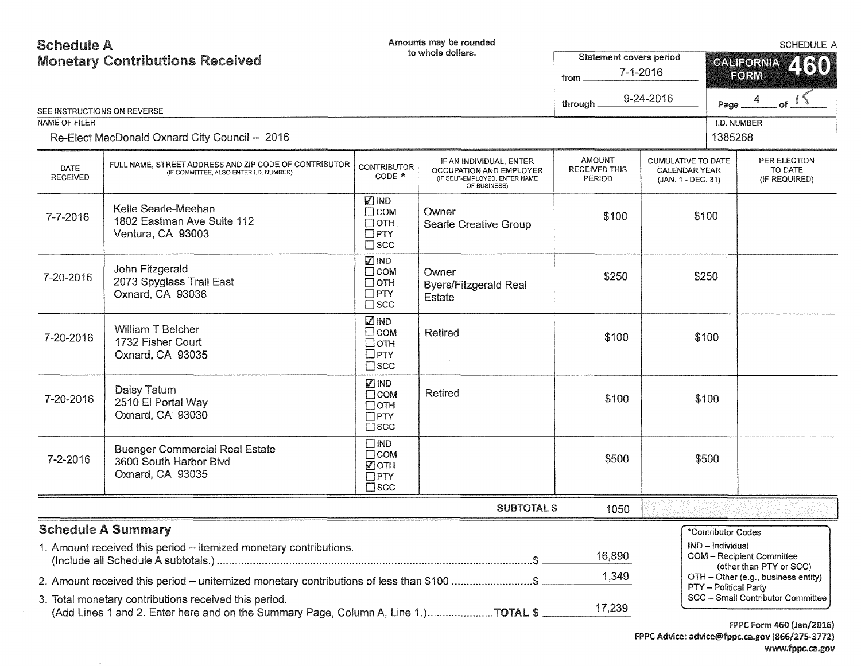## Schedule A Monetary Contributions Received

Amounts may be rounded

|                                | <b>Monetary Contributions Received</b><br>SEE INSTRUCTIONS ON REVERSE                                                                                                                      |                                                                         | to whole dollars.                                                                                   | Statement covers period<br>$7 - 1 - 2016$<br>from<br>9-24-2016<br>through. |                                                                         | 460<br><b>GALIFORNIA</b><br>FORM<br>$\overline{4}$<br>Page.                                                                                       |  |
|--------------------------------|--------------------------------------------------------------------------------------------------------------------------------------------------------------------------------------------|-------------------------------------------------------------------------|-----------------------------------------------------------------------------------------------------|----------------------------------------------------------------------------|-------------------------------------------------------------------------|---------------------------------------------------------------------------------------------------------------------------------------------------|--|
| <b>NAME OF FILER</b>           |                                                                                                                                                                                            |                                                                         |                                                                                                     |                                                                            |                                                                         | I.D. NUMBER                                                                                                                                       |  |
|                                | Re-Elect MacDonald Oxnard City Council -- 2016                                                                                                                                             |                                                                         |                                                                                                     |                                                                            |                                                                         | 1385268                                                                                                                                           |  |
| <b>DATE</b><br><b>RECEIVED</b> | FULL NAME. STREET ADDRESS AND ZIP CODE OF CONTRIBUTOR<br>(IF COMMITTEE, ALSO ENTER I.D. NUMBER)                                                                                            | <b>CONTRIBUTOR</b><br>$CODE *$                                          | IF AN INDIVIDUAL, ENTER<br>OCCUPATION AND EMPLOYER<br>(IF SELF-EMPLOYED, ENTER NAME<br>OF BUSINESS) | <b>AMOUNT</b><br><b>RECEIVED THIS</b><br><b>PERIOD</b>                     | <b>CUMULATIVE TO DATE</b><br><b>CALENDAR YEAR</b><br>(JAN. 1 - DEC. 31) | PER ELECTION<br>TO DATE<br>(IF REQUIRED)                                                                                                          |  |
| 7-7-2016                       | Kelle Searle-Meehan<br>1802 Eastman Ave Suite 112<br>Ventura, CA 93003                                                                                                                     | ☑IND<br>$\Box$ COM<br>$\Box$ OTH<br>$\Box$ PTY<br>$\square$ scc         | Owner<br>Searle Creative Group                                                                      | \$100                                                                      | \$100                                                                   |                                                                                                                                                   |  |
| 7-20-2016                      | John Fitzgerald<br>2073 Spyglass Trail East<br>Oxnard, CA 93036                                                                                                                            | <b>Z IND</b><br>$\Box$ COM<br>$\Box$ OTH<br>$\Box$ PTY<br>$\square$ scc | Owner<br><b>Byers/Fitzgerald Real</b><br>Estate                                                     | \$250                                                                      | \$250                                                                   |                                                                                                                                                   |  |
| 7-20-2016                      | William T Belcher<br>1732 Fisher Court<br>Oxnard, CA 93035                                                                                                                                 | <b>MIND</b><br>$\square$ COM<br>□отн<br>$\Box$ PTY<br>$\square$ scc     | <b>Retired</b>                                                                                      | \$100                                                                      | \$100                                                                   |                                                                                                                                                   |  |
| 7-20-2016                      | Daisy Tatum<br>2510 El Portal Way<br>Oxnard, CA 93030                                                                                                                                      | Ø IND<br>$\Box$ COM<br>$\Box$ OTH<br>$\Box$ PTY<br>$\square$ SCC        | <b>Retired</b>                                                                                      | \$100                                                                      | \$100                                                                   |                                                                                                                                                   |  |
| 7-2-2016                       | <b>Buenger Commercial Real Estate</b><br>3600 South Harbor Blvd<br>Oxnard, CA 93035                                                                                                        | $\Box$ IND<br>$\Box$ COM<br>■ОТН<br>$\Box$ PTY<br>$\square$ scc         |                                                                                                     | \$500                                                                      | \$500                                                                   |                                                                                                                                                   |  |
|                                |                                                                                                                                                                                            |                                                                         | <b>SUBTOTAL \$</b>                                                                                  | 1050                                                                       |                                                                         |                                                                                                                                                   |  |
|                                | <b>Schedule A Summary</b><br>1. Amount received this period – itemized monetary contributions.<br>2. Amount received this period - unitemized monetary contributions of less than \$100 \$ |                                                                         |                                                                                                     | 16,890<br>1,349                                                            | IND - Individual                                                        | *Contributor Codes<br>COM - Recipient Committee<br>(other than PTY or SCC)<br>OTH - Other (e.g., business entity)<br><b>PTY</b> - Political Party |  |
|                                | 3. Total monetary contributions received this period.<br>(Add Lines 1 and 2. Enter here and on the Summary Page, Column A, Line 1.)TOTAL \$                                                |                                                                         |                                                                                                     | 17,239                                                                     |                                                                         | SCC - Small Contributor Committee<br>$rnnc r_{\text{max}}$ aca light (3036)                                                                       |  |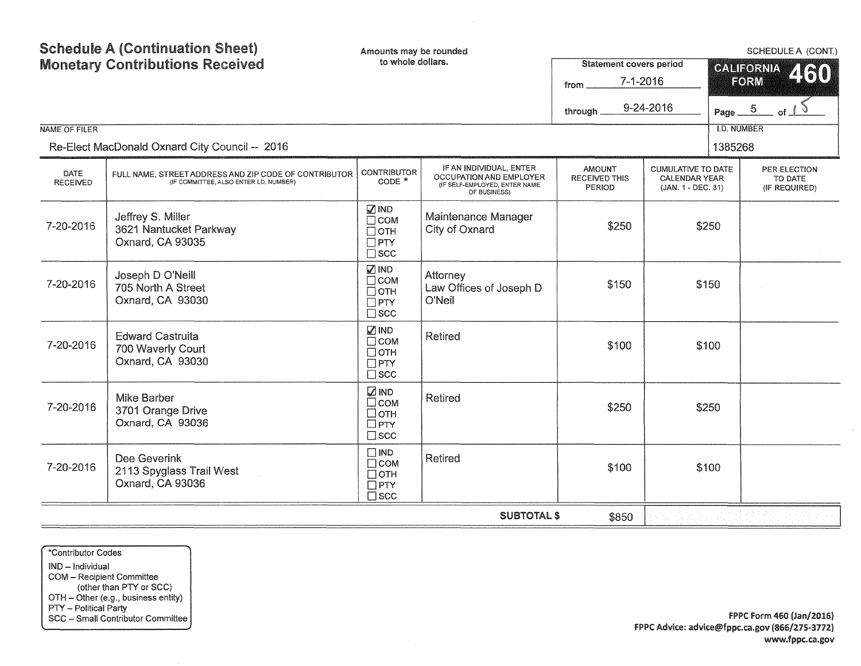|                         | <b>Schedule A (Continuation Sheet)</b><br>Amounts may be rounded<br>to whole dollars.<br><b>Monetary Contributions Received</b> |                                                                           |                                                                                                            | <b>Statement covers period</b><br>$7 - 1 - 2016$<br>from |                                                                         | SCHEDULE A (CONT.)<br><b>CALIFORNIA</b><br>460<br>FORM |                                          |  |
|-------------------------|---------------------------------------------------------------------------------------------------------------------------------|---------------------------------------------------------------------------|------------------------------------------------------------------------------------------------------------|----------------------------------------------------------|-------------------------------------------------------------------------|--------------------------------------------------------|------------------------------------------|--|
|                         |                                                                                                                                 |                                                                           |                                                                                                            | through                                                  | 9-24-2016                                                               | Page $-5$                                              | of                                       |  |
| <b>NAME OF FILER</b>    |                                                                                                                                 |                                                                           |                                                                                                            |                                                          |                                                                         | <b>I.D. NUMBER</b>                                     |                                          |  |
|                         | Re-Elect MacDonald Oxnard City Council -- 2016                                                                                  |                                                                           |                                                                                                            |                                                          |                                                                         | 1385268                                                |                                          |  |
| DATE<br><b>RECEIVED</b> | FULL NAME, STREET ADDRESS AND ZIP CODE OF CONTRIBUTOR<br>(IF COMMITTEE, ALSO ENTER I.D. NUMBER)                                 | <b>CONTRIBUTOR</b><br>$CODE *$                                            | IF AN INDIVIDUAL, ENTER<br><b>OCCUPATION AND EMPLOYER</b><br>(IF SELF-EMPLOYED, ENTER NAME<br>OF BUSINESS) | <b>AMOUNT</b><br><b>RECEIVED THIS</b><br>PERIOD          | <b>CUMULATIVE TO DATE</b><br><b>CALENDAR YEAR</b><br>(JAN. 1 - DEC. 31) |                                                        | PER ELECTION<br>TO DATE<br>(IF REQUIRED) |  |
| 7-20-2016               | Jeffrey S. Miller<br>3621 Nantucket Parkway<br>Oxnard, CA 93035                                                                 | $\sqrt{ }$ IND<br>$\Box$ COM<br>$\Box$ OTH<br>$\Box$ PTY<br>$\square$ scc | Maintenance Manager<br>City of Oxnard                                                                      | \$250                                                    |                                                                         | \$250                                                  |                                          |  |
| 7-20-2016               | Joseph D O'Neill<br>705 North A Street<br>Oxnard, CA 93030                                                                      | <b>ØIND</b><br>$\Box$ COM<br>$\Box$ OTH<br>$\Box$ PTY<br>$\square$ scc    | Attorney<br>Law Offices of Joseph D<br>O'Neil                                                              | \$150                                                    |                                                                         | \$150                                                  |                                          |  |
| 7-20-2016               | <b>Edward Castruita</b><br>700 Waverly Court<br>Oxnard, CA 93030                                                                | √ IND<br>$\Box$ COM<br>$\Box$ OTH<br>$\Box$ PTY<br>$\square$ scc          | <b>Retired</b>                                                                                             | \$100                                                    |                                                                         | \$100                                                  |                                          |  |
| 7-20-2016               | <b>Mike Barber</b><br>3701 Orange Drive<br>Oxnard, CA 93036                                                                     | <b>ZIND</b><br>$\square$ COM<br>□отн<br>$\Box$ PTY<br>$\square$ scc       | Retired                                                                                                    | \$250                                                    |                                                                         | \$250                                                  |                                          |  |
| 7-20-2016               | Dee Geverink<br>2113 Spyglass Trail West<br>Oxnard, CA 93036                                                                    | $\Box$ IND<br>$\Box$ COM<br>$\Box$ OTH<br>$\Box$ PTY<br>$\square$ scc     | <b>Retired</b>                                                                                             | \$100                                                    |                                                                         | \$100                                                  |                                          |  |
|                         |                                                                                                                                 |                                                                           | <b>SUBTOTAL \$</b>                                                                                         | \$850                                                    |                                                                         |                                                        |                                          |  |

\*Contributor Codes

IND - Individual COM - Recipient Committee (other than PTY or SCC) OTH - Other (e.g., business entity) PTY - Political Party SCC - Small Contributor Committee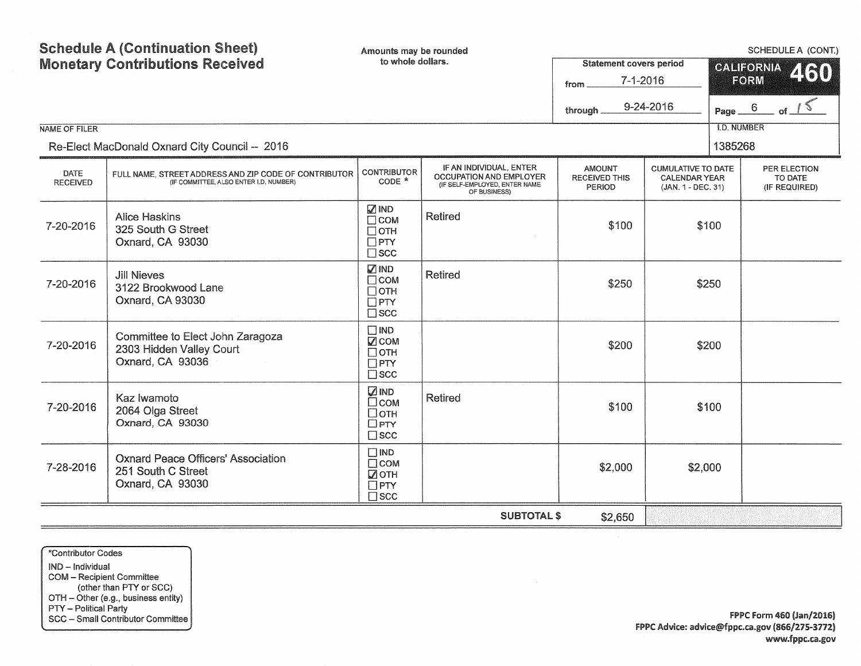| <b>Schedule A (Continuation Sheet)</b><br><b>Monetary Contributions Received</b> |                                                                                                 | Amounts may be rounded<br>to whole dollars.                                |                                                                                                     |                                                        | <b>Statement covers period</b>                                          |                    | SCHEDULE A (CONT.)<br><b>CALIFORNIA</b>  |  |  |
|----------------------------------------------------------------------------------|-------------------------------------------------------------------------------------------------|----------------------------------------------------------------------------|-----------------------------------------------------------------------------------------------------|--------------------------------------------------------|-------------------------------------------------------------------------|--------------------|------------------------------------------|--|--|
|                                                                                  |                                                                                                 |                                                                            |                                                                                                     | $7 - 1 - 2016$<br>from                                 |                                                                         |                    | 250<br>FORM                              |  |  |
|                                                                                  |                                                                                                 |                                                                            |                                                                                                     | through                                                | 9-24-2016                                                               | Page_              | 6                                        |  |  |
| <b>NAME OF FILER</b>                                                             |                                                                                                 |                                                                            |                                                                                                     |                                                        |                                                                         | <b>I.D. NUMBER</b> |                                          |  |  |
|                                                                                  | Re-Elect MacDonald Oxnard City Council -- 2016                                                  |                                                                            |                                                                                                     |                                                        | 1385268                                                                 |                    |                                          |  |  |
| DATE<br><b>RECEIVED</b>                                                          | FULL NAME, STREET ADDRESS AND ZIP CODE OF CONTRIBUTOR<br>(IF COMMITTEE, ALSO ENTER I.D. NUMBER) | <b>CONTRIBUTOR</b><br>CODE *                                               | IF AN INDIVIDUAL, ENTER<br>OCCUPATION AND EMPLOYER<br>(IF SELF-EMPLOYED, ENTER NAME<br>OF BUSINESS) | <b>AMOUNT</b><br><b>RECEIVED THIS</b><br><b>PERIOD</b> | <b>CUMULATIVE TO DATE</b><br><b>CALENDAR YEAR</b><br>(JAN. 1 - DEC. 31) |                    | PER ELECTION<br>TO DATE<br>(IF REQUIRED) |  |  |
| 7-20-2016                                                                        | <b>Alice Haskins</b><br>325 South G Street<br>Oxnard, CA 93030                                  | <b>ØIND</b><br>$\Box$ COM<br>$\Box$ OTH<br>$\Box$ PTY<br>$\square$ scc     | Retired                                                                                             | \$100                                                  |                                                                         | \$100              |                                          |  |  |
| 7-20-2016                                                                        | <b>Jill Nieves</b><br>3122 Brookwood Lane<br>Oxnard, CA 93030                                   | $\sqrt{ }$ IND<br>$\Box$ COM<br>$\Box$ OTH<br>$\Box$ PTY<br>$\square$ scc  | Retired                                                                                             | \$250                                                  |                                                                         | \$250              |                                          |  |  |
| 7-20-2016                                                                        | Committee to Elect John Zaragoza<br>2303 Hidden Valley Court<br>Oxnard, CA 93036                | $\square$ IND<br>$\nabla$ COM<br>$\Box$ OTH<br>$\Box$ PTY<br>$\square$ scc |                                                                                                     | \$200                                                  |                                                                         | \$200              |                                          |  |  |
| 7-20-2016                                                                        | Kaz Iwamoto<br>2064 Olga Street<br>Oxnard, CA 93030                                             | <b>ZIND</b><br>$\Box$ COM<br>$\Box$ OTH<br>$\Box$ PTY<br>$\square$ scc     | <b>Retired</b>                                                                                      | \$100                                                  |                                                                         | \$100              |                                          |  |  |
| 7-28-2016                                                                        | <b>Oxnard Peace Officers' Association</b><br>251 South C Street<br>Oxnard, CA 93030             | $\Box$ IND<br>$\Box$ COM<br>■ОТН<br>$\Box$ PTY<br>$\square$ scc            |                                                                                                     | \$2,000                                                | \$2,000                                                                 |                    |                                          |  |  |
|                                                                                  | <b>SUBTOTAL \$</b><br>\$2,650                                                                   |                                                                            |                                                                                                     |                                                        |                                                                         |                    |                                          |  |  |

\*Contributor Codes IND - Individual COM - Recipient Committee (other than PTY or SCC) OTH - Other (e.g., business entity) PTY - Political Party SCC - Smail Contributor Committee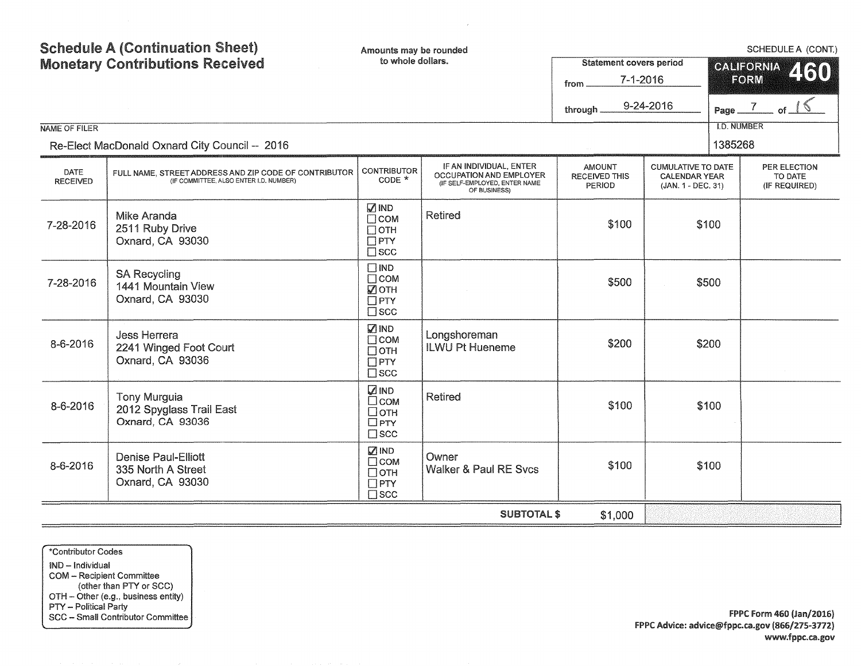| NAME OF FILER                  | <b>Schedule A (Continuation Sheet)</b><br><b>Monetary Contributions Received</b><br>Re-Elect MacDonald Oxnard City Council -- 2016 | Amounts may be rounded<br>to whole dollars.                               |                                                                                                     | <b>Statement covers period</b><br>$7 - 1 - 2016$<br>from<br>9-24-2016<br>through. |                                                                         |       | SCHEDULE A (CONT.)<br><b>GALIFORNIA</b><br>460<br>FORM<br>Page $\frac{7}{2}$<br><b>I.D. NUMBER</b><br>1385268 |  |  |
|--------------------------------|------------------------------------------------------------------------------------------------------------------------------------|---------------------------------------------------------------------------|-----------------------------------------------------------------------------------------------------|-----------------------------------------------------------------------------------|-------------------------------------------------------------------------|-------|---------------------------------------------------------------------------------------------------------------|--|--|
| <b>DATE</b><br><b>RECEIVED</b> | FULL NAME, STREET ADDRESS AND ZIP CODE OF CONTRIBUTOR<br>(IF COMMITTEE, ALSO ENTER I.D. NUMBER)                                    | <b>CONTRIBUTOR</b><br>CODE *                                              | IF AN INDIVIDUAL, ENTER<br>OCCUPATION AND EMPLOYER<br>(IF SELF-EMPLOYED, ENTER NAME<br>OF BUSINESS) | <b>AMOUNT</b><br><b>RECEIVED THIS</b><br>PERIOD                                   | <b>CUMULATIVE TO DATE</b><br><b>CALENDAR YEAR</b><br>(JAN. 1 - DEC. 31) |       | PER ELECTION<br>TO DATE<br>(IF REQUIRED)                                                                      |  |  |
| 7-28-2016                      | Mike Aranda<br>2511 Ruby Drive<br>Oxnard, CA 93030                                                                                 | <b>Ø</b> IND<br>$\Box$ COM<br>$\Box$ OTH<br>$\Box$ PTY<br>$\square$ scc   | <b>Retired</b>                                                                                      | \$100                                                                             |                                                                         | \$100 |                                                                                                               |  |  |
| 7-28-2016                      | <b>SA Recycling</b><br>1441 Mountain View<br>Oxnard, CA 93030                                                                      | $\Box$ IND<br>$\Box$ COM<br>$\nabla$ OTH<br>$\Box$ PTY<br>$\square$ scc   |                                                                                                     | \$500                                                                             |                                                                         | \$500 |                                                                                                               |  |  |
| 8-6-2016                       | <b>Jess Herrera</b><br>2241 Winged Foot Court<br>Oxnard, CA 93036                                                                  | <b>ØIND</b><br>$\Box$ COM<br>$\Box$ OTH<br>$\Box$ PTY<br>$\square$ scc    | Longshoreman<br><b>ILWU Pt Hueneme</b>                                                              | \$200                                                                             |                                                                         | \$200 |                                                                                                               |  |  |
| 8-6-2016                       | <b>Tony Murguia</b><br>2012 Spyglass Trail East<br>Oxnard, CA 93036                                                                | <b>ZIND</b><br>$\Box$ COM<br>□отн<br>$\Box$ PTY<br>$\square$ scc          | <b>Retired</b>                                                                                      | \$100                                                                             |                                                                         | \$100 |                                                                                                               |  |  |
| 8-6-2016                       | <b>Denise Paul-Elliott</b><br>335 North A Street<br>Oxnard, CA 93030                                                               | $\sqrt{ }$ IND<br>$\Box$ COM<br>$\Box$ OTH<br>$\Box$ PTY<br>$\square$ SCC | Owner<br>Walker & Paul RE Svcs                                                                      | \$100                                                                             |                                                                         | \$100 |                                                                                                               |  |  |
|                                |                                                                                                                                    |                                                                           | <b>SUBTOTAL \$</b>                                                                                  | \$1,000                                                                           |                                                                         |       |                                                                                                               |  |  |

 $\mathcal{L}$ 

\*Contributor Codes IND - Individual COM - Recipient Committee (other than PTY or SCC) OTH - Other (e.g., business entity) PTY - Political Party SCC - Small Contributor Committee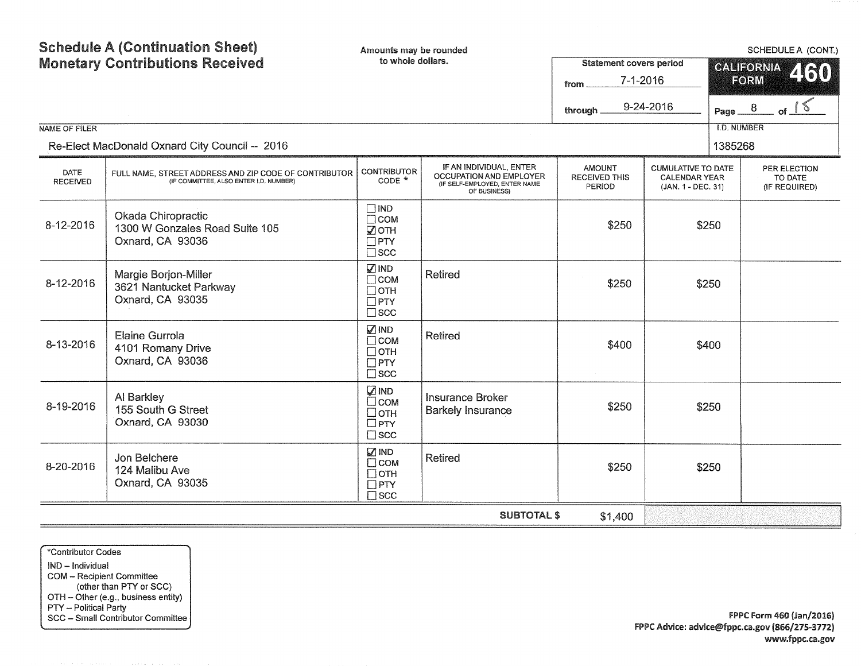| NAME OF FILER                  | <b>Schedule A (Continuation Sheet)</b><br><b>Monetary Contributions Received</b><br>Re-Elect MacDonald Oxnard City Council -- 2016 | Amounts may be rounded<br>to whole dollars.                                 |                                                                                                     | <b>Statement covers period</b><br>$7 - 1 - 2016$<br>from<br>9-24-2016<br>through. | Page $-8$<br><b>I.D. NUMBER</b><br>1385268                              | <b>SCHEDULE A (CONT.)</b><br><b>CALIFORNIA</b><br>460<br>FORM |                                          |  |  |  |
|--------------------------------|------------------------------------------------------------------------------------------------------------------------------------|-----------------------------------------------------------------------------|-----------------------------------------------------------------------------------------------------|-----------------------------------------------------------------------------------|-------------------------------------------------------------------------|---------------------------------------------------------------|------------------------------------------|--|--|--|
| <b>DATE</b><br><b>RECEIVED</b> | FULL NAME, STREET ADDRESS AND ZIP CODE OF CONTRIBUTOR<br>(IF COMMITTEE, ALSO ENTER I.D. NUMBER)                                    | <b>CONTRIBUTOR</b><br>$CODE *$                                              | IF AN INDIVIDUAL, ENTER<br>OCCUPATION AND EMPLOYER<br>(IF SELF-EMPLOYED, ENTER NAME<br>OF BUSINESS) | <b>AMOUNT</b><br><b>RECEIVED THIS</b><br><b>PERIOD</b>                            | <b>CUMULATIVE TO DATE</b><br><b>CALENDAR YEAR</b><br>(JAN. 1 - DEC. 31) |                                                               | PER ELECTION<br>TO DATE<br>(IF REQUIRED) |  |  |  |
| 8-12-2016                      | Okada Chiropractic<br>1300 W Gonzales Road Suite 105<br>Oxnard, CA 93036                                                           | $\square$ IND<br>$\Box$ COM<br>■ОТН<br>$\Box$ PTY<br>$\square$ scc          |                                                                                                     | \$250                                                                             |                                                                         | \$250                                                         |                                          |  |  |  |
| 8-12-2016                      | Margie Borjon-Miller<br>3621 Nantucket Parkway<br>Oxnard, CA 93035                                                                 | <b>Ø</b> IND<br>$\Box$ COM<br>$\Box$ OTH<br>$\Box$ PTY<br>$\square$ scc     | <b>Retired</b>                                                                                      | \$250                                                                             |                                                                         | \$250                                                         |                                          |  |  |  |
| 8-13-2016                      | Elaine Gurrola<br>4101 Romany Drive<br>Oxnard, CA 93036                                                                            | $\nabla$ IND<br>$\Box$ COM<br>$\Box$ OTH<br>$\Box$ PTY<br>$\square$ scc     | <b>Retired</b>                                                                                      | \$400                                                                             |                                                                         | \$400                                                         |                                          |  |  |  |
| 8-19-2016                      | Al Barkley<br>155 South G Street<br>Oxnard, CA 93030                                                                               | <b>ZIND</b><br>$\square$ COM<br>$\Box$ OTH<br>$\Box$ PTY<br>$\square$ scc   | <b>Insurance Broker</b><br><b>Barkely Insurance</b>                                                 | \$250                                                                             |                                                                         | \$250                                                         |                                          |  |  |  |
| 8-20-2016                      | Jon Belchere<br>124 Malibu Ave<br>Oxnard, CA 93035                                                                                 | M <sub>IND</sub><br>$\Box$ COM<br>$\Box$ OTH<br>$\Box$ PTY<br>$\square$ scc | <b>Retired</b>                                                                                      | \$250                                                                             |                                                                         | \$250                                                         |                                          |  |  |  |
|                                | <b>SUBTOTAL \$</b><br>\$1,400                                                                                                      |                                                                             |                                                                                                     |                                                                                   |                                                                         |                                                               |                                          |  |  |  |

\*Contributor Codes IND - Individual COM - Recipient Committee (other than PTY or SCC) OTH - Other (e.g., business entity) PTY - Political Party SCC - Small Contributor Committee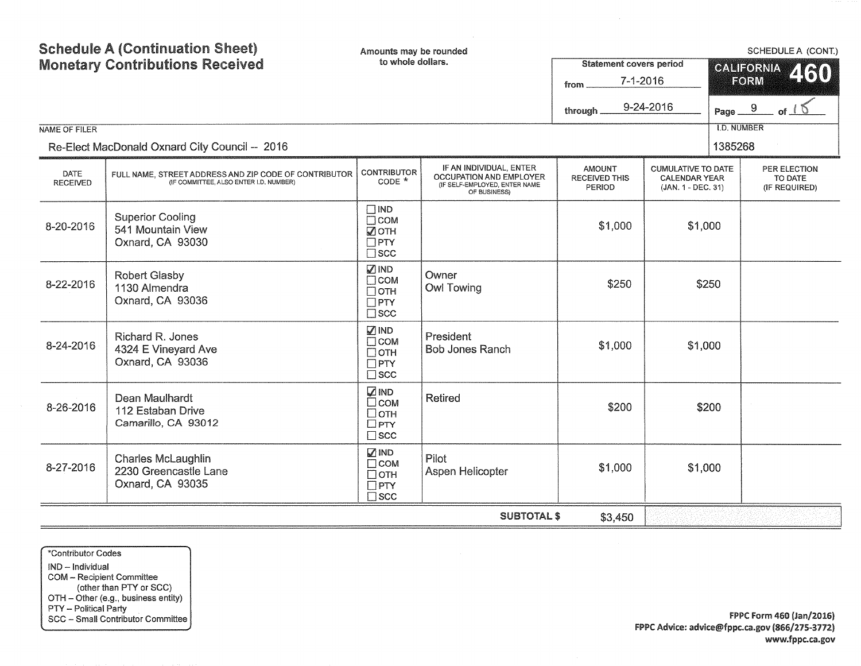| <b>NAME OF FILER</b>    | <b>Schedule A (Continuation Sheet)</b><br>Amounts may be rounded<br>to whole dollars.<br><b>Monetary Contributions Received</b><br><b>Statement covers period</b><br>$7 - 1 - 2016$<br>from<br>9-24-2016<br>through.<br>Re-Elect MacDonald Oxnard City Council -- 2016 |                                                                           |                                                                                                     |                                                        |                                                                         |         | SCHEDULE A (CONT.)<br><b>CALIFORNIA</b><br>460<br>FORM<br>Page $\frac{9}{2}$<br>$ot\_15$<br><b>I.D. NUMBER</b> |  |  |  |
|-------------------------|------------------------------------------------------------------------------------------------------------------------------------------------------------------------------------------------------------------------------------------------------------------------|---------------------------------------------------------------------------|-----------------------------------------------------------------------------------------------------|--------------------------------------------------------|-------------------------------------------------------------------------|---------|----------------------------------------------------------------------------------------------------------------|--|--|--|
|                         |                                                                                                                                                                                                                                                                        |                                                                           |                                                                                                     |                                                        |                                                                         | 1385268 |                                                                                                                |  |  |  |
| DATE<br><b>RECEIVED</b> | FULL NAME, STREET ADDRESS AND ZIP CODE OF CONTRIBUTOR<br>(IF COMMITTEE, ALSO ENTER I.D. NUMBER)                                                                                                                                                                        | <b>CONTRIBUTOR</b><br>$CODE *$                                            | IF AN INDIVIDUAL, ENTER<br>OCCUPATION AND EMPLOYER<br>(IF SELF-EMPLOYED, ENTER NAME<br>OF BUSINESS) | <b>AMOUNT</b><br><b>RECEIVED THIS</b><br><b>PERIOD</b> | <b>CUMULATIVE TO DATE</b><br><b>CALENDAR YEAR</b><br>(JAN. 1 - DEC. 31) |         | PER ELECTION<br>TO DATE<br>(IF REQUIRED)                                                                       |  |  |  |
| 8-20-2016               | <b>Superior Cooling</b><br>541 Mountain View<br>Oxnard, CA 93030                                                                                                                                                                                                       | $\Box$ IND<br>$\Box$ COM<br><b>⊘</b> ОТН<br>$\Box$ PTY<br>$\square$ scc   |                                                                                                     | \$1,000                                                | \$1,000                                                                 |         |                                                                                                                |  |  |  |
| 8-22-2016               | <b>Robert Glasby</b><br>1130 Almendra<br>Oxnard, CA 93036                                                                                                                                                                                                              | <b>ØIND</b><br>$\Box$ COM<br>$\Box$ OTH<br>$\Box$ PTY<br>$\square$ scc    | Owner<br><b>Owl Towing</b>                                                                          | \$250                                                  |                                                                         | \$250   |                                                                                                                |  |  |  |
| 8-24-2016               | Richard R. Jones<br>4324 E Vineyard Ave<br>Oxnard, CA 93036                                                                                                                                                                                                            | <b>ZIND</b><br>$\Box$ COM<br>$\Box$ OTH<br>$\Box$ PTY<br>$\square$ scc    | President<br><b>Bob Jones Ranch</b>                                                                 | \$1,000                                                | \$1,000                                                                 |         |                                                                                                                |  |  |  |
| 8-26-2016               | Dean Maulhardt<br>112 Estaban Drive<br>Camarillo, CA 93012                                                                                                                                                                                                             | <b>ZIND</b><br>$\square$ COM<br>$\Box$ OTH<br>$\Box$ PTY<br>$\square$ scc | <b>Retired</b>                                                                                      | \$200                                                  |                                                                         | \$200   |                                                                                                                |  |  |  |
| 8-27-2016               | <b>Charles McLaughlin</b><br>2230 Greencastle Lane<br>Oxnard, CA 93035                                                                                                                                                                                                 | $\sqrt{ }$ IND<br>$\Box$ COM<br>Потн<br>$\Box$ PTY<br>$\square$ SCC       | Pilot<br>Aspen Helicopter                                                                           | \$1,000                                                | \$1,000                                                                 |         |                                                                                                                |  |  |  |
|                         | <b>SUBTOTAL \$</b><br>\$3,450                                                                                                                                                                                                                                          |                                                                           |                                                                                                     |                                                        |                                                                         |         |                                                                                                                |  |  |  |

\*Contributor Codes

IND - Individual COM - Recipient Committee (other than PTY or SCC) OTH - Other (e.g., business entity) PTY - Political Party SCC - Small Contributor Committee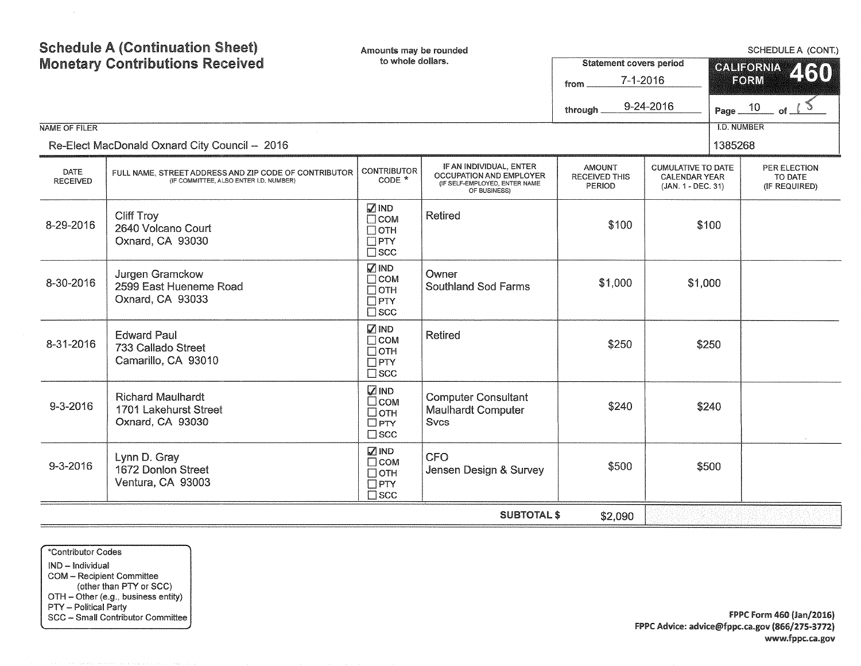| NAME OF FILER                  | <b>Schedule A (Continuation Sheet)</b><br><b>Monetary Contributions Received</b><br>Re-Elect MacDonald Oxnard City Council -- 2016 | Amounts may be rounded<br>to whole dollars.                               |                                                                                                            | from<br>through                                 | SCHEDULE A (CONT.)<br><b>Statement covers period</b><br><b>CALIFORNIA</b><br>2130<br>$7 - 1 - 2016$<br>FORM<br>9-24-2016<br>Page $\frac{10}{10}$ of $\frac{15}{10}$<br><b>I.D. NUMBER</b><br>1385268 |  |                                          |  |  |  |
|--------------------------------|------------------------------------------------------------------------------------------------------------------------------------|---------------------------------------------------------------------------|------------------------------------------------------------------------------------------------------------|-------------------------------------------------|------------------------------------------------------------------------------------------------------------------------------------------------------------------------------------------------------|--|------------------------------------------|--|--|--|
| <b>DATE</b><br><b>RECEIVED</b> | FULL NAME, STREET ADDRESS AND ZIP CODE OF CONTRIBUTOR<br>(IF COMMITTEE, ALSO ENTER I.D. NUMBER)                                    | <b>CONTRIBUTOR</b><br>CODE *                                              | IF AN INDIVIDUAL, ENTER<br><b>OCCUPATION AND EMPLOYER</b><br>(IF SELF-EMPLOYED, ENTER NAME<br>OF BUSINESS) | <b>AMOUNT</b><br><b>RECEIVED THIS</b><br>PERIOD | <b>CUMULATIVE TO DATE</b><br><b>CALENDAR YEAR</b><br>(JAN. 1 - DEC. 31)                                                                                                                              |  | PER ELECTION<br>TO DATE<br>(IF REQUIRED) |  |  |  |
| 8-29-2016                      | <b>Cliff Troy</b><br>2640 Volcano Court<br>Oxnard, CA 93030                                                                        | <b>ØIND</b><br>$\Box$ COM<br>$\Box$ OTH<br>$\Box$ PTY<br>$\square$ scc    | <b>Retired</b>                                                                                             | \$100                                           | \$100                                                                                                                                                                                                |  |                                          |  |  |  |
| 8-30-2016                      | Jurgen Gramckow<br>2599 East Hueneme Road<br>Oxnard, CA 93033                                                                      | $\sqrt{ }$ IND<br>$\Box$ COM<br>$\Box$ OTH<br>$\Box$ PTY<br>$\square$ scc | Owner<br><b>Southland Sod Farms</b>                                                                        | \$1,000                                         | \$1,000                                                                                                                                                                                              |  |                                          |  |  |  |
| 8-31-2016                      | <b>Edward Paul</b><br>733 Callado Street<br>Camarillo, CA 93010                                                                    | <b>Ø</b> IND<br>$\Box$ COM<br>$\Box$ OTH<br>$\Box$ PTY<br>$\square$ scc   | <b>Retired</b>                                                                                             | \$250                                           | \$250                                                                                                                                                                                                |  |                                          |  |  |  |
| 9-3-2016                       | <b>Richard Maulhardt</b><br>1701 Lakehurst Street<br>Oxnard, CA 93030                                                              | <b>ZIND</b><br>$\square$ COM<br>□отн<br>$\square$ PTY<br>$\square$ scc    | <b>Computer Consultant</b><br><b>Maulhardt Computer</b><br><b>Svcs</b>                                     | \$240                                           | \$240                                                                                                                                                                                                |  |                                          |  |  |  |
| $9 - 3 - 2016$                 | Lynn D. Gray<br>1672 Donlon Street<br>Ventura, CA 93003                                                                            | √ IND<br>$\Box$ COM<br>$\Box$ OTH<br>$\Box$ PTY<br>$\square$ scc          | <b>CFO</b><br>Jensen Design & Survey                                                                       | \$500                                           | \$500                                                                                                                                                                                                |  |                                          |  |  |  |
|                                | <b>SUBTOTAL \$</b><br>\$2,090                                                                                                      |                                                                           |                                                                                                            |                                                 |                                                                                                                                                                                                      |  |                                          |  |  |  |

\*Contributor Codes IND - Individual COM - Recipient Committee (other than PTY or SCC) OTH - Other (e.g., business entity) PTY - Political Party SCC - Smail Contributor Committee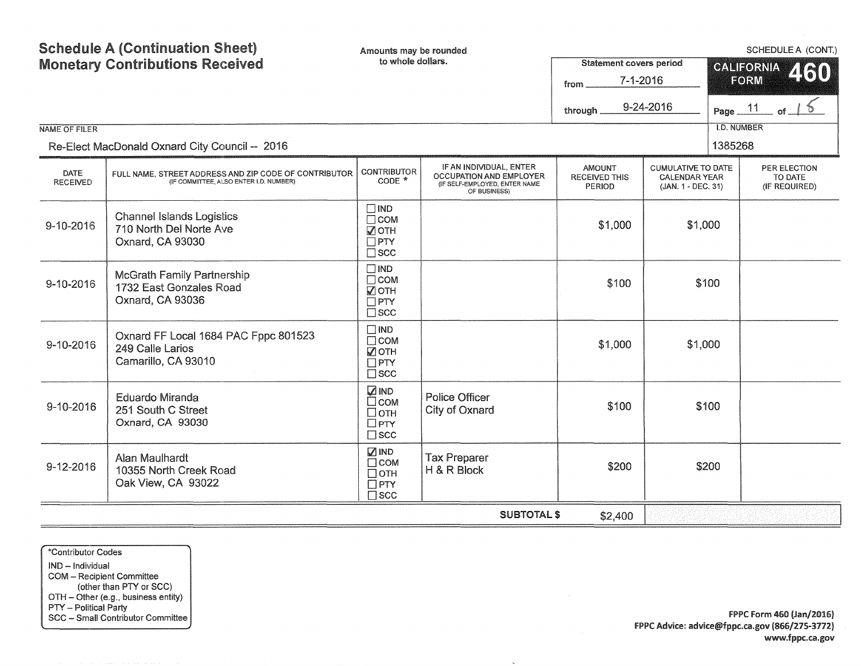|                         | <b>Schedule A (Continuation Sheet)</b><br><b>Monetary Contributions Received</b>                | Amounts may be rounded<br>to whole dollars.                               |                                                                                                     | <b>Statement covers period</b><br>$7 - 1 - 2016$<br>from<br>through. | 9-24-2016                                                               | SCHEDULE A (CONT.)<br>CALIFORNIA<br>460<br>FORM<br>11<br>Page_ |                                          |  |  |  |
|-------------------------|-------------------------------------------------------------------------------------------------|---------------------------------------------------------------------------|-----------------------------------------------------------------------------------------------------|----------------------------------------------------------------------|-------------------------------------------------------------------------|----------------------------------------------------------------|------------------------------------------|--|--|--|
| NAME OF FILER           | Re-Elect MacDonald Oxnard City Council -- 2016                                                  |                                                                           |                                                                                                     |                                                                      |                                                                         | <b>I.D. NUMBER</b><br>1385268                                  |                                          |  |  |  |
| DATE<br><b>RECEIVED</b> | FULL NAME, STREET ADDRESS AND ZIP CODE OF CONTRIBUTOR<br>(IF COMMITTEE, ALSO ENTER I.D. NUMBER) | CONTRIBUTOR<br>$CODE *$                                                   | IF AN INDIVIDUAL, ENTER<br>OCCUPATION AND EMPLOYER<br>(IF SELF-EMPLOYED, ENTER NAME<br>OF BUSINESS) | <b>AMOUNT</b><br><b>RECEIVED THIS</b><br><b>PERIOD</b>               | <b>CUMULATIVE TO DATE</b><br><b>CALENDAR YEAR</b><br>(JAN. 1 - DEC. 31) |                                                                | PER ELECTION<br>TO DATE<br>(IF REQUIRED) |  |  |  |
| 9-10-2016               | <b>Channel Islands Logistics</b><br>710 North Del Norte Ave<br>Oxnard, CA 93030                 | $\Box$ IND<br>$\Box$ COM<br>$\sqrt{2}$ OTH<br>$\Box$ PTY<br>$\square$ scc |                                                                                                     | \$1,000                                                              | \$1,000                                                                 |                                                                |                                          |  |  |  |
| 9-10-2016               | <b>McGrath Family Partnership</b><br>1732 East Gonzales Road<br>Oxnard, CA 93036                | $\Box$ IND<br>$\Box$ COM<br>√ OTH<br>$\Box$ PTY<br>$\square$ scc          |                                                                                                     | \$100                                                                |                                                                         | \$100                                                          |                                          |  |  |  |
| 9-10-2016               | Oxnard FF Local 1684 PAC Fppc 801523<br>249 Calle Larios<br>Camarillo, CA 93010                 | $\Box$ IND<br>$\Box$ COM<br>☑отн<br>$\Box$ PTY<br>$\square$ scc           |                                                                                                     | \$1,000                                                              | \$1,000                                                                 |                                                                |                                          |  |  |  |
| 9-10-2016               | <b>Eduardo Miranda</b><br>251 South C Street<br>Oxnard, CA 93030                                | <b>DIND</b><br>$\Box$ COM<br>$\Box$ OTH<br>$\Box$ PTY<br>$\square$ scc    | Police Officer<br>City of Oxnard                                                                    | \$100                                                                |                                                                         | \$100                                                          |                                          |  |  |  |
| $9-12-2016$             | Alan Maulhardt<br>10355 North Creek Road<br>Oak View, CA 93022                                  | <b>ZIND</b><br>$\Box$ COM<br>$\Box$ OTH<br>$\Box$ PTY<br>$\Box$ SCC       | <b>Tax Preparer</b><br>H & R Block                                                                  | \$200                                                                |                                                                         | \$200                                                          |                                          |  |  |  |
|                         | <b>SUBTOTAL \$</b><br>\$2,400                                                                   |                                                                           |                                                                                                     |                                                                      |                                                                         |                                                                |                                          |  |  |  |

 $\sim$ 

\*Contributor Codes

IND - Individual COM - Recipient Committee (other than PTY or SCC) OTH - Other (e.g., business entity) PTY - Political Party SCC - Small Contributor Committee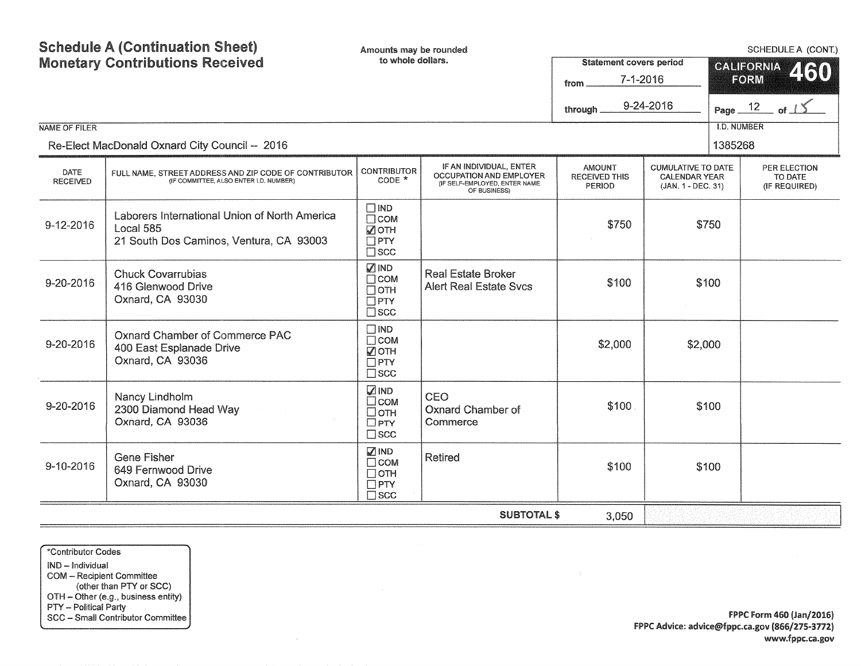| <b>NAME OF FILER</b>           | <b>Schedule A (Continuation Sheet)</b><br><b>Monetary Contributions Received</b>                      | Amounts may be rounded<br>to whole dollars.                               |                                                                                                     | <b>Statement covers period</b><br>$7 - 1 - 2016$<br>from<br>9-24-2016<br>through. |                                                                         |         | SCHEDULE A (CONT.)<br><b>CALIFORNIA</b><br>460<br>FORM<br>Page $12$ of $15$<br><b>I.D. NUMBER</b> |  |  |
|--------------------------------|-------------------------------------------------------------------------------------------------------|---------------------------------------------------------------------------|-----------------------------------------------------------------------------------------------------|-----------------------------------------------------------------------------------|-------------------------------------------------------------------------|---------|---------------------------------------------------------------------------------------------------|--|--|
|                                | Re-Elect MacDonald Oxnard City Council -- 2016                                                        |                                                                           |                                                                                                     |                                                                                   |                                                                         | 1385268 |                                                                                                   |  |  |
| <b>DATE</b><br><b>RECEIVED</b> | FULL NAME, STREET ADDRESS AND ZIP CODE OF CONTRIBUTOR<br>(IF COMMITTEE, ALSO ENTER I.D. NUMBER)       | <b>CONTRIBUTOR</b><br>$CODE *$                                            | IF AN INDIVIDUAL, ENTER<br>OCCUPATION AND EMPLOYER<br>(IF SELF-EMPLOYED, ENTER NAME<br>OF BUSINESS) | <b>AMOUNT</b><br><b>RECEIVED THIS</b><br>PERIOD                                   | <b>CUMULATIVE TO DATE</b><br><b>CALENDAR YEAR</b><br>(JAN. 1 - DEC. 31) |         | PER ELECTION<br>TO DATE<br>(IF REQUIRED)                                                          |  |  |
| 9-12-2016                      | Laborers International Union of North America<br>Local 585<br>21 South Dos Caminos, Ventura, CA 93003 | $\Box$ IND<br>$\Box$ COM<br><b>ZOTH</b><br>$\Box$ PTY<br>$\Box$ scc       |                                                                                                     | \$750                                                                             |                                                                         | \$750   |                                                                                                   |  |  |
| 9-20-2016                      | <b>Chuck Covarrubias</b><br>416 Glenwood Drive<br>Oxnard, CA 93030                                    | <b>ØIND</b><br>$\Box$ COM<br>$\Box$ OTH<br>$\Box$ PTY<br>$\square$ scc    | <b>Real Estate Broker</b><br><b>Alert Real Estate Svcs</b>                                          | \$100                                                                             |                                                                         | \$100   |                                                                                                   |  |  |
| 9-20-2016                      | Oxnard Chamber of Commerce PAC<br>400 East Esplanade Drive<br>Oxnard, CA 93036                        | $\Box$ IND<br>$\Box$ COM<br>■ОТН<br>$\Box$ PTY<br>$\square$ scc           |                                                                                                     | \$2,000                                                                           | \$2,000                                                                 |         |                                                                                                   |  |  |
| 9-20-2016                      | Nancy Lindholm<br>2300 Diamond Head Way<br>Oxnard, CA 93036                                           | <b>ZIND</b><br>$\square$ COM<br>$\Box$ OTH<br>$\Box$ PTY<br>$\square$ scc | CEO<br>Oxnard Chamber of<br>Commerce                                                                | \$100                                                                             |                                                                         | \$100   |                                                                                                   |  |  |
| 9-10-2016                      | <b>Gene Fisher</b><br>649 Fernwood Drive<br>Oxnard, CA 93030                                          | $\sqrt{ }$ IND<br>$\Box$ COM<br>$\Box$ OTH<br>$\Box$ PTY<br>$\square$ scc | <b>Retired</b>                                                                                      | \$100                                                                             |                                                                         | \$100   |                                                                                                   |  |  |
|                                |                                                                                                       |                                                                           | <b>SUBTOTAL \$</b>                                                                                  | 3,050                                                                             |                                                                         |         |                                                                                                   |  |  |

\*Contributor Codes IND - Individual COM - Recipient Committee (other than PTY or SCC) OTH - Other (e.g., business entity) PTY - Political Party SCC - Small Contributor Committee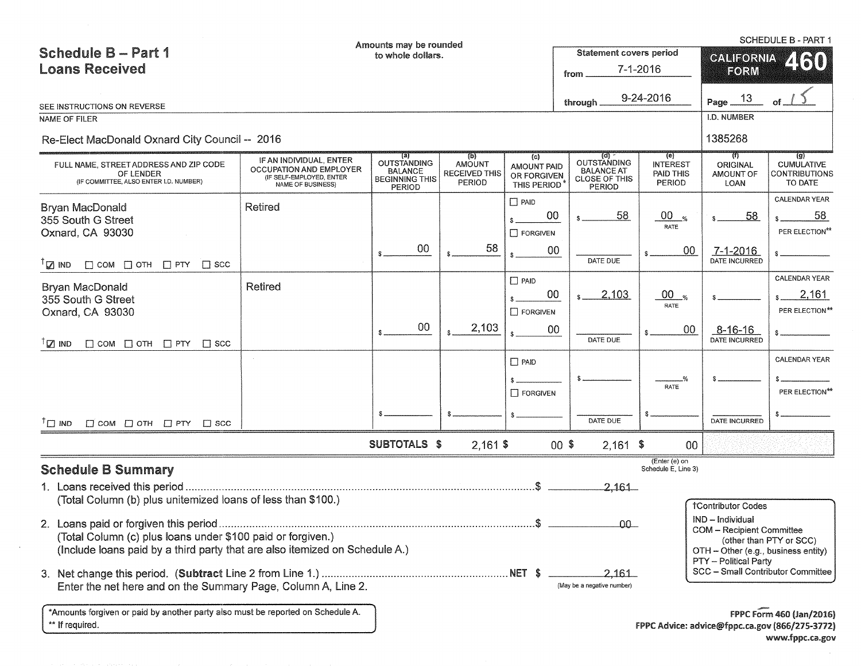|                                                                                               |                                                                          | Amounts may be rounded                                                  |                                                 |                                                  |                                                            |                                        |                                      | SCHEDULE B - PART 1                                  |  |  |
|-----------------------------------------------------------------------------------------------|--------------------------------------------------------------------------|-------------------------------------------------------------------------|-------------------------------------------------|--------------------------------------------------|------------------------------------------------------------|----------------------------------------|--------------------------------------|------------------------------------------------------|--|--|
| <b>Schedule B-Part 1</b>                                                                      |                                                                          | to whole dollars.                                                       |                                                 |                                                  | <b>Statement covers period</b>                             |                                        | <b>CALIFORNIA</b><br>250             |                                                      |  |  |
| <b>Loans Received</b>                                                                         |                                                                          |                                                                         |                                                 |                                                  | from                                                       | $7 - 1 - 2016$                         | FORM                                 |                                                      |  |  |
|                                                                                               |                                                                          |                                                                         |                                                 |                                                  | through                                                    | 9-24-2016                              | 13<br>Page_                          |                                                      |  |  |
| SEE INSTRUCTIONS ON REVERSE<br><b>NAME OF FILER</b>                                           |                                                                          |                                                                         |                                                 |                                                  |                                                            |                                        | I.D. NUMBER                          |                                                      |  |  |
| Re-Elect MacDonald Oxnard City Council -- 2016                                                |                                                                          |                                                                         |                                                 |                                                  |                                                            |                                        | 1385268                              |                                                      |  |  |
|                                                                                               | IF AN INDIVIDUAL, ENTER                                                  | (a)                                                                     | (b)                                             | (c)                                              | OUTSTANDING                                                | (e)                                    | का                                   | $\left( 0 \right)$                                   |  |  |
| FULL NAME, STREET ADDRESS AND ZIP CODE<br>OF LENDER<br>(IF COMMITTEE, ALSO ENTER I.D. NUMBER) | OCCUPATION AND EMPLOYER<br>(IF SELF-EMPLOYED, ENTER<br>NAME OF BUSINESS) | <b>OUTSTANDING</b><br><b>BALANCE</b><br><b>BEGINNING THIS</b><br>PERIOD | AMOUNT<br><b>RECEIVED THIS</b><br><b>PERIOD</b> | <b>AMOUNT PAID</b><br>OR FORGIVEN<br>THIS PERIOD | <b>BALANCE AT</b><br><b>CLOSE OF THIS</b><br><b>PERIOD</b> | <b>INTEREST</b><br>PAID THIS<br>PERIOD | <b>ORIGINAL</b><br>AMOUNT OF<br>LOAN | <b>CUMULATIVE</b><br><b>CONTRIBUTIONS</b><br>TO DATE |  |  |
| Bryan MacDonald                                                                               | <b>Retired</b>                                                           |                                                                         |                                                 | $\Box$ PAID                                      |                                                            |                                        |                                      | CALENDAR YEAR                                        |  |  |
| 355 South G Street                                                                            |                                                                          |                                                                         |                                                 | 00                                               | 58                                                         | $00_{\%}$                              | 58                                   | 58                                                   |  |  |
| Oxnard, CA 93030                                                                              |                                                                          |                                                                         |                                                 | $\Box$ FORGIVEN                                  |                                                            | RATE                                   |                                      | PER ELECTION**                                       |  |  |
| $\mathbb{Z}$ ind<br>$\Box$ COM $\Box$ OTH $\Box$ PTY $\Box$ SCC                               |                                                                          | 00                                                                      | 58                                              | 00                                               | DATE DUE                                                   | 00                                     | $7 - 1 - 2016$<br>DATE INCURRED      |                                                      |  |  |
|                                                                                               | Retired                                                                  |                                                                         |                                                 | $\Box$ PAID                                      |                                                            |                                        |                                      | CALENDAR YEAR                                        |  |  |
| <b>Bryan MacDonald</b><br>355 South G Street                                                  |                                                                          |                                                                         |                                                 | 00                                               | 2,103                                                      | $00_{\tiny \rm X}$                     |                                      | 2,161                                                |  |  |
| Oxnard, CA 93030                                                                              |                                                                          |                                                                         |                                                 | $\Box$ FORGIVEN                                  |                                                            | RATE                                   |                                      | PER ELECTION**                                       |  |  |
|                                                                                               |                                                                          | 00                                                                      | 2,103                                           | $00\,$                                           |                                                            | 00                                     | $8 - 16 - 16$                        |                                                      |  |  |
| ${}^{7}$ $\boxtimes$ IND<br>$\Box$ COM $\Box$ OTH $\Box$ PTY<br>$\Box$ scc                    |                                                                          |                                                                         |                                                 |                                                  | DATE DUE                                                   |                                        | DATE INCURRED                        |                                                      |  |  |
|                                                                                               |                                                                          |                                                                         |                                                 | $\Box$ PAID                                      |                                                            |                                        |                                      | CALENDAR YEAR                                        |  |  |
|                                                                                               |                                                                          |                                                                         |                                                 |                                                  |                                                            |                                        |                                      |                                                      |  |  |
|                                                                                               |                                                                          |                                                                         |                                                 | $\Box$ FORGIVEN                                  |                                                            | RATE                                   |                                      | PER ELECTION**                                       |  |  |
|                                                                                               |                                                                          |                                                                         |                                                 |                                                  |                                                            |                                        |                                      |                                                      |  |  |
| $T \square$ IND<br>$\Box$ COM $\Box$ OTH $\Box$ PTY $\Box$ SCC                                |                                                                          |                                                                         |                                                 |                                                  | DATE DUE                                                   |                                        | DATE INCURRED                        |                                                      |  |  |
|                                                                                               |                                                                          | SUBTOTALS \$                                                            | $2,161$ \$                                      |                                                  | $2,161$ \$<br>$00$ \$                                      | 00                                     |                                      |                                                      |  |  |
| <b>Schedule B Summary</b>                                                                     |                                                                          |                                                                         |                                                 |                                                  |                                                            | (Enter (e) on<br>Schedule E, Line 3)   |                                      |                                                      |  |  |
|                                                                                               |                                                                          |                                                                         |                                                 |                                                  | 2,161                                                      |                                        |                                      |                                                      |  |  |
| (Total Column (b) plus unitemized loans of less than \$100.)                                  |                                                                          |                                                                         |                                                 |                                                  |                                                            |                                        | <b>†Contributor Codes</b>            |                                                      |  |  |
|                                                                                               |                                                                          |                                                                         |                                                 |                                                  |                                                            |                                        | IND - Individual                     |                                                      |  |  |
| (Total Column (c) plus loans under \$100 paid or forgiven.)                                   |                                                                          |                                                                         |                                                 |                                                  | $\overline{00}$                                            |                                        | COM - Recipient Committee            |                                                      |  |  |
| (Include loans paid by a third party that are also itemized on Schedule A.)                   |                                                                          |                                                                         |                                                 |                                                  |                                                            |                                        | OTH - Other (e.g., business entity)  | (other than PTY or SCC)                              |  |  |
|                                                                                               |                                                                          |                                                                         |                                                 |                                                  |                                                            |                                        | PTY - Political Party                |                                                      |  |  |
| Enter the net here and on the Summary Page, Column A, Line 2.                                 |                                                                          |                                                                         |                                                 |                                                  | 2.161<br>(May be a negative number)                        |                                        |                                      | SCC - Small Contributor Committee                    |  |  |
| *Amounts forgiven or paid by another party also must be reported on Schedule A.               |                                                                          |                                                                         |                                                 |                                                  |                                                            |                                        |                                      | <b>FPPC Form 460 (Jan/2016)</b>                      |  |  |
| ** If required.                                                                               |                                                                          |                                                                         |                                                 |                                                  |                                                            |                                        |                                      | FPPC Advice: advice@fppc.ca.gov (866/275-3772)       |  |  |

 $\sim 10^{-1}$ 

www.fppc.ca.gov

SCHEDULE B - PART 1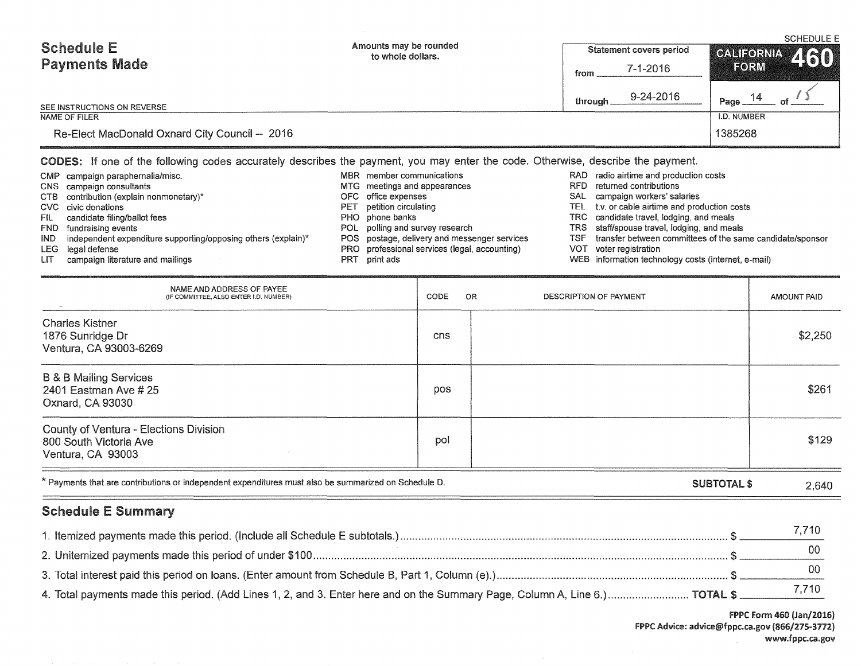| <b>Schedule E</b><br><b>Payments Made</b><br>SEE INSTRUCTIONS ON REVERSE                                                                                                                                                                                                                                                                                                                                                                                                                                                                                                                                                                                                                                                                                                                                                                                                                                                                                                                                                                                                                                                                                                                                      | Amounts may be rounded<br><b>Statement covers period</b><br>to whole dollars.<br>$7 - 1 - 2016$<br>from<br>9-24-2016<br>through |             |  |                        |  |                               | <b>SCHEDULE E</b><br><b>GALIFORNIA</b><br>460<br>FORM<br>14<br>Page. |  |  |
|---------------------------------------------------------------------------------------------------------------------------------------------------------------------------------------------------------------------------------------------------------------------------------------------------------------------------------------------------------------------------------------------------------------------------------------------------------------------------------------------------------------------------------------------------------------------------------------------------------------------------------------------------------------------------------------------------------------------------------------------------------------------------------------------------------------------------------------------------------------------------------------------------------------------------------------------------------------------------------------------------------------------------------------------------------------------------------------------------------------------------------------------------------------------------------------------------------------|---------------------------------------------------------------------------------------------------------------------------------|-------------|--|------------------------|--|-------------------------------|----------------------------------------------------------------------|--|--|
| <b>NAME OF FILER</b><br>Re-Elect MacDonald Oxnard City Council -- 2016                                                                                                                                                                                                                                                                                                                                                                                                                                                                                                                                                                                                                                                                                                                                                                                                                                                                                                                                                                                                                                                                                                                                        |                                                                                                                                 |             |  |                        |  | <b>I.D. NUMBER</b><br>1385268 |                                                                      |  |  |
| CODES: If one of the following codes accurately describes the payment, you may enter the code. Otherwise, describe the payment.<br>RAD radio airtime and production costs<br>MBR member communications<br>CMP campaign paraphernalia/misc.<br>MTG meetings and appearances<br>RFD<br>returned contributions<br>CNS campaign consultants<br>SAL campaign workers' salaries<br>contribution (explain nonmonetary)*<br>office expenses<br>CTB<br>OFC.<br>TEL t.v. or cable airtime and production costs<br>CVC civic donations<br>petition circulating<br>PET<br>TRC candidate travel, lodging, and meals<br>candidate filing/ballot fees<br>PHO phone banks<br>FIL I<br>POL polling and survey research<br>TRS staff/spouse travel, lodging, and meals<br>FND fundraising events<br>POS postage, delivery and messenger services<br>transfer between committees of the same candidate/sponsor<br>independent expenditure supporting/opposing others (explain)*<br><b>TSF</b><br>IND.<br>PRO professional services (legal, accounting)<br>VOT.<br>voter registration<br>LEG legal defense<br>WEB information technology costs (internet, e-mail)<br>campaign literature and mailings<br>PRT<br>print ads<br>LIT. |                                                                                                                                 |             |  |                        |  |                               |                                                                      |  |  |
| NAME AND ADDRESS OF PAYEE<br>(IF COMMITTEE, ALSO ENTER I.D. NUMBER)                                                                                                                                                                                                                                                                                                                                                                                                                                                                                                                                                                                                                                                                                                                                                                                                                                                                                                                                                                                                                                                                                                                                           |                                                                                                                                 | CODE<br>OR. |  | DESCRIPTION OF PAYMENT |  |                               | <b>AMOUNT PAID</b>                                                   |  |  |
| <b>Charles Kistner</b><br>1876 Sunridge Dr<br>Ventura, CA 93003-6269                                                                                                                                                                                                                                                                                                                                                                                                                                                                                                                                                                                                                                                                                                                                                                                                                                                                                                                                                                                                                                                                                                                                          |                                                                                                                                 | cns         |  |                        |  |                               | \$2,250                                                              |  |  |
| <b>B &amp; B Mailing Services</b><br>2401 Eastman Ave # 25<br>Oxnard, CA 93030                                                                                                                                                                                                                                                                                                                                                                                                                                                                                                                                                                                                                                                                                                                                                                                                                                                                                                                                                                                                                                                                                                                                |                                                                                                                                 | pos         |  |                        |  |                               | \$261                                                                |  |  |
| County of Ventura - Elections Division<br>800 South Victoria Ave<br>Ventura, CA 93003                                                                                                                                                                                                                                                                                                                                                                                                                                                                                                                                                                                                                                                                                                                                                                                                                                                                                                                                                                                                                                                                                                                         |                                                                                                                                 | pol         |  |                        |  |                               | \$129                                                                |  |  |
| * Payments that are contributions or independent expenditures must also be summarized on Schedule D.                                                                                                                                                                                                                                                                                                                                                                                                                                                                                                                                                                                                                                                                                                                                                                                                                                                                                                                                                                                                                                                                                                          |                                                                                                                                 |             |  |                        |  | <b>SUBTOTAL \$</b>            | 2,640                                                                |  |  |
| <b>Schedule E Summary</b>                                                                                                                                                                                                                                                                                                                                                                                                                                                                                                                                                                                                                                                                                                                                                                                                                                                                                                                                                                                                                                                                                                                                                                                     |                                                                                                                                 |             |  |                        |  |                               |                                                                      |  |  |
|                                                                                                                                                                                                                                                                                                                                                                                                                                                                                                                                                                                                                                                                                                                                                                                                                                                                                                                                                                                                                                                                                                                                                                                                               |                                                                                                                                 |             |  |                        |  |                               | 7,710<br>00                                                          |  |  |

3. Total interest paid this period on loans. (Enter amount from Schedule B, Part 1, Column (e).)  $\ldots$   $\ldots$   $\ldots$   $\ldots$   $\ldots$   $\ldots$   $\ldots$   $\ldots$   $\ldots$   $\ldots$   $\ldots$   $\ldots$   $\ldots$   $\ldots$   $\ldots$   $\ldots$   $\ldots$   $\ldots$   $\ldots$   $\ldots$   $\ldots$ 4. Total payments made this period. (Add Lines 1, 2, and 3. Enter here and on the Summary Page, Column A, Line 6.) ............................... TOTAL \$